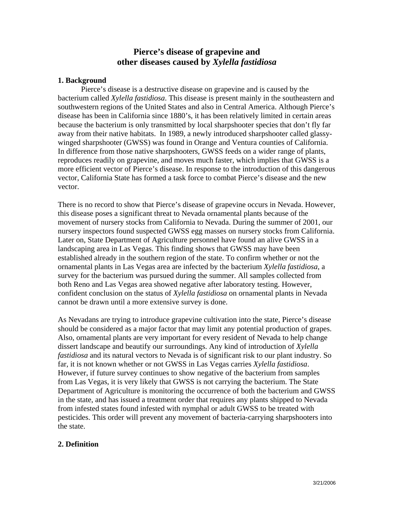# **Pierce's disease of grapevine and other diseases caused by** *Xylella fastidiosa*

### **1. Background**

Pierce's disease is a destructive disease on grapevine and is caused by the bacterium called *Xylella fastidiosa*. This disease is present mainly in the southeastern and southwestern regions of the United States and also in Central America. Although Pierce's disease has been in California since 1880's, it has been relatively limited in certain areas because the bacterium is only transmitted by local sharpshooter species that don't fly far away from their native habitats. In 1989, a newly introduced sharpshooter called glassywinged sharpshooter (GWSS) was found in Orange and Ventura counties of California. In difference from those native sharpshooters, GWSS feeds on a wider range of plants, reproduces readily on grapevine, and moves much faster, which implies that GWSS is a more efficient vector of Pierce's disease. In response to the introduction of this dangerous vector, California State has formed a task force to combat Pierce's disease and the new vector.

There is no record to show that Pierce's disease of grapevine occurs in Nevada. However, this disease poses a significant threat to Nevada ornamental plants because of the movement of nursery stocks from California to Nevada. During the summer of 2001, our nursery inspectors found suspected GWSS egg masses on nursery stocks from California. Later on, State Department of Agriculture personnel have found an alive GWSS in a landscaping area in Las Vegas. This finding shows that GWSS may have been established already in the southern region of the state. To confirm whether or not the ornamental plants in Las Vegas area are infected by the bacterium *Xylella fastidiosa*, a survey for the bacterium was pursued during the summer. All samples collected from both Reno and Las Vegas area showed negative after laboratory testing. However, confident conclusion on the status of *Xylella fastidiosa* on ornamental plants in Nevada cannot be drawn until a more extensive survey is done.

As Nevadans are trying to introduce grapevine cultivation into the state, Pierce's disease should be considered as a major factor that may limit any potential production of grapes. Also, ornamental plants are very important for every resident of Nevada to help change dissert landscape and beautify our surroundings. Any kind of introduction of *Xylella fastidiosa* and its natural vectors to Nevada is of significant risk to our plant industry. So far, it is not known whether or not GWSS in Las Vegas carries *Xylella fastidiosa*. However, if future survey continues to show negative of the bacterium from samples from Las Vegas, it is very likely that GWSS is not carrying the bacterium. The State Department of Agriculture is monitoring the occurrence of both the bacterium and GWSS in the state, and has issued a treatment order that requires any plants shipped to Nevada from infested states found infested with nymphal or adult GWSS to be treated with pesticides. This order will prevent any movement of bacteria-carrying sharpshooters into the state.

#### **2. Definition**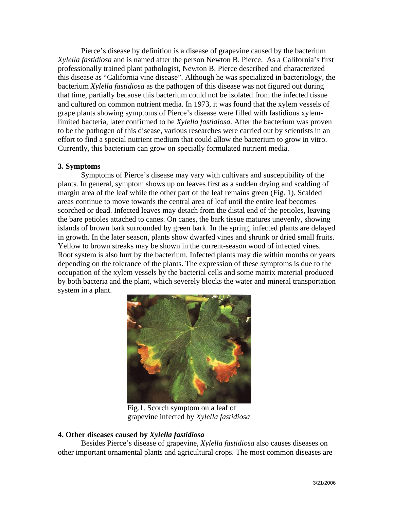Pierce's disease by definition is a disease of grapevine caused by the bacterium *Xylella fastidiosa* and is named after the person Newton B. Pierce. As a California's first professionally trained plant pathologist, Newton B. Pierce described and characterized this disease as "California vine disease". Although he was specialized in bacteriology, the bacterium *Xylella fastidiosa* as the pathogen of this disease was not figured out during that time, partially because this bacterium could not be isolated from the infected tissue and cultured on common nutrient media. In 1973, it was found that the xylem vessels of grape plants showing symptoms of Pierce's disease were filled with fastidious xylemlimited bacteria, later confirmed to be *Xylella fastidiosa*. After the bacterium was proven to be the pathogen of this disease, various researches were carried out by scientists in an effort to find a special nutrient medium that could allow the bacterium to grow in vitro. Currently, this bacterium can grow on specially formulated nutrient media.

#### **3. Symptoms**

Symptoms of Pierce's disease may vary with cultivars and susceptibility of the plants. In general, symptom shows up on leaves first as a sudden drying and scalding of margin area of the leaf while the other part of the leaf remains green (Fig. 1). Scalded areas continue to move towards the central area of leaf until the entire leaf becomes scorched or dead. Infected leaves may detach from the distal end of the petioles, leaving the bare petioles attached to canes. On canes, the bark tissue matures unevenly, showing islands of brown bark surrounded by green bark. In the spring, infected plants are delayed in growth. In the later season, plants show dwarfed vines and shrunk or dried small fruits. Yellow to brown streaks may be shown in the current-season wood of infected vines. Root system is also hurt by the bacterium. Infected plants may die within months or years depending on the tolerance of the plants. The expression of these symptoms is due to the occupation of the xylem vessels by the bacterial cells and some matrix material produced by both bacteria and the plant, which severely blocks the water and mineral transportation system in a plant.



 Fig.1. Scorch symptom on a leaf of grapevine infected by *Xylella fastidiosa*

#### **4. Other diseases caused by** *Xylella fastidiosa*

Besides Pierce's disease of grapevine, *Xylella fastidiosa* also causes diseases on other important ornamental plants and agricultural crops. The most common diseases are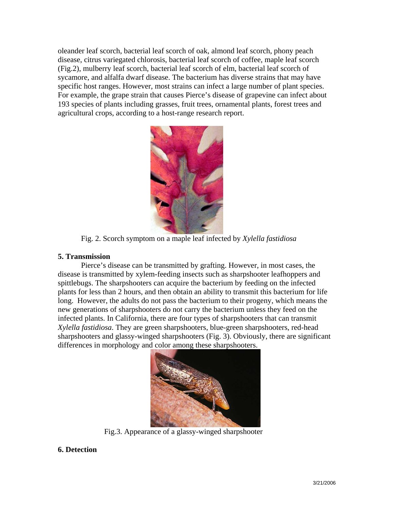oleander leaf scorch, bacterial leaf scorch of oak, almond leaf scorch, phony peach disease, citrus variegated chlorosis, bacterial leaf scorch of coffee, maple leaf scorch (Fig.2), mulberry leaf scorch, bacterial leaf scorch of elm, bacterial leaf scorch of sycamore, and alfalfa dwarf disease. The bacterium has diverse strains that may have specific host ranges. However, most strains can infect a large number of plant species. For example, the grape strain that causes Pierce's disease of grapevine can infect about 193 species of plants including grasses, fruit trees, ornamental plants, forest trees and agricultural crops, according to a host-range research report.



Fig. 2. Scorch symptom on a maple leaf infected by *Xylella fastidiosa*

#### **5. Transmission**

Pierce's disease can be transmitted by grafting. However, in most cases, the disease is transmitted by xylem-feeding insects such as sharpshooter leafhoppers and spittlebugs. The sharpshooters can acquire the bacterium by feeding on the infected plants for less than 2 hours, and then obtain an ability to transmit this bacterium for life long. However, the adults do not pass the bacterium to their progeny, which means the new generations of sharpshooters do not carry the bacterium unless they feed on the infected plants. In California, there are four types of sharpshooters that can transmit *Xylella fastidiosa*. They are green sharpshooters, blue-green sharpshooters, red-head sharpshooters and glassy-winged sharpshooters (Fig. 3). Obviously, there are significant differences in morphology and color among these sharpshooters.



Fig.3. Appearance of a glassy-winged sharpshooter

## **6. Detection**